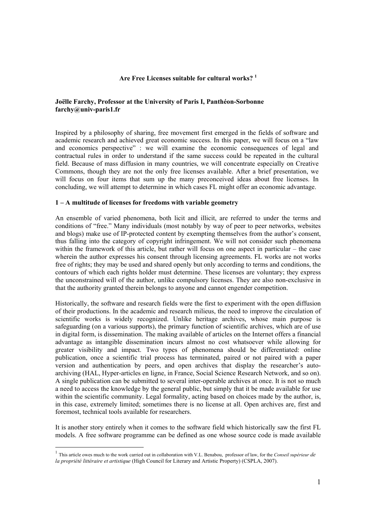# **Are Free Licenses suitable for cultural works? 1**

# **Joëlle Farchy, Professor at the University of Paris I, Panthéon-Sorbonne farchy@univ-paris1.fr**

Inspired by a philosophy of sharing, free movement first emerged in the fields of software and academic research and achieved great economic success. In this paper, we will focus on a "law and economics perspective" : we will examine the economic consequences of legal and contractual rules in order to understand if the same success could be repeated in the cultural field. Because of mass diffusion in many countries, we will concentrate especially on Creative Commons, though they are not the only free licenses available. After a brief presentation, we will focus on four items that sum up the many preconceived ideas about free licenses. In concluding, we will attempt to determine in which cases FL might offer an economic advantage.

#### **1 – A multitude of licenses for freedoms with variable geometry**

An ensemble of varied phenomena, both licit and illicit, are referred to under the terms and conditions of "free." Many individuals (most notably by way of peer to peer networks, websites and blogs) make use of IP-protected content by exempting themselves from the author's consent, thus falling into the category of copyright infringement. We will not consider such phenomena within the framework of this article, but rather will focus on one aspect in particular – the case wherein the author expresses his consent through licensing agreements. FL works are not works free of rights; they may be used and shared openly but only according to terms and conditions, the contours of which each rights holder must determine. These licenses are voluntary; they express the unconstrained will of the author, unlike compulsory licenses. They are also non-exclusive in that the authority granted therein belongs to anyone and cannot engender competition.

Historically, the software and research fields were the first to experiment with the open diffusion of their productions. In the academic and research milieus, the need to improve the circulation of scientific works is widely recognized. Unlike heritage archives, whose main purpose is safeguarding (on a various supports), the primary function of scientific archives, which are of use in digital form, is dissemination. The making available of articles on the Internet offers a financial advantage as intangible dissemination incurs almost no cost whatsoever while allowing for greater visibility and impact. Two types of phenomena should be differentiated: online publication, once a scientific trial process has terminated, paired or not paired with a paper version and authentication by peers, and open archives that display the researcher's autoarchiving (HAL, Hyper-articles en ligne, in France, Social Science Research Network, and so on). A single publication can be submitted to several inter-operable archives at once. It is not so much a need to access the knowledge by the general public, but simply that it be made available for use within the scientific community. Legal formality, acting based on choices made by the author, is, in this case, extremely limited; sometimes there is no license at all. Open archives are, first and foremost, technical tools available for researchers.

It is another story entirely when it comes to the software field which historically saw the first FL models. A free software programme can be defined as one whose source code is made available

<sup>1</sup> This article owes much to the work carried out in collaboration with V.L. Benabou, professor of law, for the *Conseil supérieur de la propriété littéraire et artistique* (High Council for Literary and Artistic Property) (CSPLA, 2007).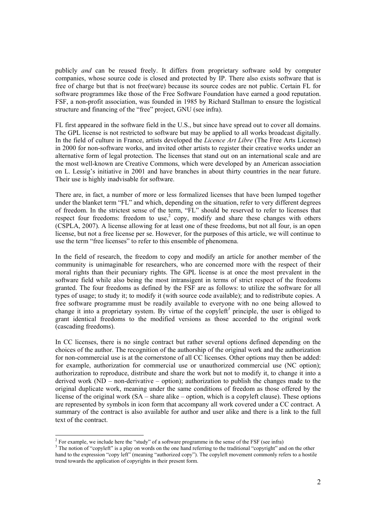publicly *and* can be reused freely. It differs from proprietary software sold by computer companies, whose source code is closed and protected by IP. There also exists software that is free of charge but that is not free(ware) because its source codes are not public. Certain FL for software programmes like those of the Free Software Foundation have earned a good reputation. FSF, a non-profit association, was founded in 1985 by Richard Stallman to ensure the logistical structure and financing of the "free" project, GNU (see infra).

FL first appeared in the software field in the U.S., but since have spread out to cover all domains. The GPL license is not restricted to software but may be applied to all works broadcast digitally. In the field of culture in France, artists developed the *Licence Art Libre* (The Free Arts License) in 2000 for non-software works, and invited other artists to register their creative works under an alternative form of legal protection. The licenses that stand out on an international scale and are the most well-known are Creative Commons, which were developed by an American association on L. Lessig's initiative in 2001 and have branches in about thirty countries in the near future. Their use is highly inadvisable for software.

There are, in fact, a number of more or less formalized licenses that have been lumped together under the blanket term "FL" and which, depending on the situation, refer to very different degrees of freedom. In the strictest sense of the term, "FL" should be reserved to refer to licenses that respect four freedoms: freedom to use,<sup>2</sup> copy, modify and share these changes with others (CSPLA, 2007). A license allowing for at least one of these freedoms, but not all four, is an open license, but not a free license per se. However, for the purposes of this article, we will continue to use the term "free licenses" to refer to this ensemble of phenomena.

In the field of research, the freedom to copy and modify an article for another member of the community is unimaginable for researchers, who are concerned more with the respect of their moral rights than their pecuniary rights. The GPL license is at once the most prevalent in the software field while also being the most intransigent in terms of strict respect of the freedoms granted. The four freedoms as defined by the FSF are as follows: to utilize the software for all types of usage; to study it; to modify it (with source code available); and to redistribute copies. A free software programme must be readily available to everyone with no one being allowed to change it into a proprietary system. By virtue of the copyleft<sup>3</sup> principle, the user is obliged to grant identical freedoms to the modified versions as those accorded to the original work (cascading freedoms).

In CC licenses, there is no single contract but rather several options defined depending on the choices of the author. The recognition of the authorship of the original work and the authorization for non-commercial use is at the cornerstone of all CC licenses. Other options may then be added: for example, authorization for commercial use or unauthorized commercial use (NC option); authorization to reproduce, distribute and share the work but not to modify it, to change it into a derived work (ND – non-derivative – option); authorization to publish the changes made to the original duplicate work, meaning under the same conditions of freedom as those offered by the license of the original work (SA – share alike – option, which is a copyleft clause). These options are represented by symbols in icon form that accompany all work covered under a CC contract. A summary of the contract is also available for author and user alike and there is a link to the full text of the contract.

<sup>&</sup>lt;sup>2</sup> For example, we include here the "study" of a software programme in the sense of the FSF (see infra)

 $3$  The notion of "copyleft" is a play on words on the one hand referring to the traditional "copyright" and on the other hand to the expression "copy left" (meaning "authorized copy"). The copyleft movement commonly refers to a hostile trend towards the application of copyrights in their present form.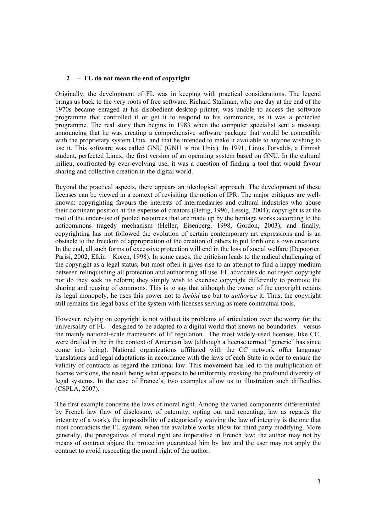### **2 – FL do not mean the end of copyright**

Originally, the development of FL was in keeping with practical considerations. The legend brings us back to the very roots of free software. Richard Stallman, who one day at the end of the 1970s became enraged at his disobedient desktop printer, was unable to access the software programme that controlled it or get it to respond to his commands, as it was a protected programme. The real story then begins in 1983 when the computer specialist sent a message announcing that he was creating a comprehensive software package that would be compatible with the proprietary system Unix, and that he intended to make it available to anyone wishing to use it. This software was called GNU (GNU is not Unix). In 1991, Linus Torvalds, a Finnish student, perfected Linux, the first version of an operating system based on GNU. In the cultural milieu, confronted by ever-evolving use, it was a question of finding a tool that would favour sharing and collective creation in the digital world.

Beyond the practical aspects, there appears an ideological approach. The development of these licenses can be viewed in a context of revisiting the notion of IPR. The major critiques are wellknown: copyrighting favours the interests of intermediaries and cultural industries who abuse their dominant position at the expense of creators (Bettig, 1996, Lessig, 2004); copyright is at the root of the under-use of pooled resources that are made up by the heritage works according to the anticommons tragedy mechanism (Heller, Eisenberg, 1998, Gordon, 2003); and finally, copyrighting has not followed the evolution of certain contemporary art expressions and is an obstacle to the freedom of appropriation of the creation of others to put forth one's own creations. In the end, all such forms of excessive protection will end in the loss of social welfare (Depoorter, Parisi, 2002, Elkin – Koren, 1998). In some cases, the criticism leads to the radical challenging of the copyright as a legal status, but most often it gives rise to an attempt to find a happy medium between relinquishing all protection and authorizing all use. FL advocates do not reject copyright nor do they seek its reform; they simply wish to exercise copyright differently to promote the sharing and reusing of commons. This is to say that although the owner of the copyright retains its legal monopoly, he uses this power not to *forbid* use but to *authorize* it. Thus, the copyright still remains the legal basis of the system with licenses serving as mere contractual tools.

However, relying on copyright is not without its problems of articulation over the worry for the universality of FL – designed to be adapted to a digital world that knows no boundaries – versus the mainly national-scale framework of IP regulation. The most widely-used licenses, like CC, were drafted in the in the context of American law (although a license termed "generic" has since come into being). National organizations affiliated with the CC network offer language translations and legal adaptations in accordance with the laws of each State in order to ensure the validity of contracts as regard the national law. This movement has led to the multiplication of license versions, the result being what appears to be uniformity masking the profound diversity of legal systems. In the case of France's, two examples allow us to illustration such difficulties (CSPLA, 2007).

The first example concerns the laws of moral right. Among the varied components differentiated by French law (law of disclosure, of paternity, opting out and repenting, law as regards the integrity of a work), the impossibility of categorically waiving the law of integrity is the one that most contradicts the FL system, when the available works allow for third-party modifying. More generally, the prerogatives of moral right are imperative in French law; the author may not by means of contract abjure the protection guaranteed him by law and the user may not apply the contract to avoid respecting the moral right of the author.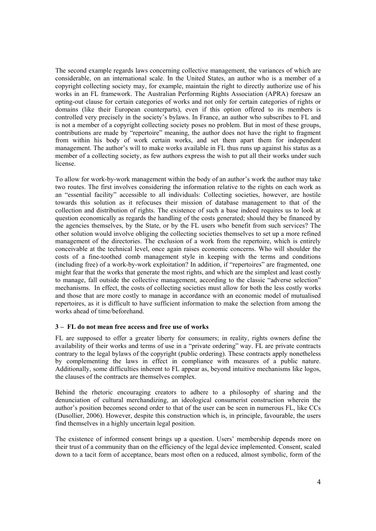The second example regards laws concerning collective management, the variances of which are considerable, on an international scale. In the United States, an author who is a member of a copyright collecting society may, for example, maintain the right to directly authorize use of his works in an FL framework. The Australian Performing Rights Association (APRA) foresaw an opting-out clause for certain categories of works and not only for certain categories of rights or domains (like their European counterparts), even if this option offered to its members is controlled very precisely in the society's bylaws. In France, an author who subscribes to FL and is not a member of a copyright collecting society poses no problem. But in most of these groups, contributions are made by "repertoire" meaning, the author does not have the right to fragment from within his body of work certain works, and set them apart them for independent management. The author's will to make works available in FL thus runs up against his status as a member of a collecting society, as few authors express the wish to put all their works under such license.

To allow for work-by-work management within the body of an author's work the author may take two routes. The first involves considering the information relative to the rights on each work as an "essential facility" accessible to all individuals: Collecting societies, however, are hostile towards this solution as it refocuses their mission of database management to that of the collection and distribution of rights. The existence of such a base indeed requires us to look at question economically as regards the handling of the costs generated; should they be financed by the agencies themselves, by the State, or by the FL users who benefit from such services? The other solution would involve obliging the collecting societies themselves to set up a more refined management of the directories. The exclusion of a work from the repertoire, which is entirely conceivable at the technical level, once again raises economic concerns. Who will shoulder the costs of a fine-toothed comb management style in keeping with the terms and conditions (including free) of a work-by-work exploitation? In addition, if "repertoires" are fragmented, one might fear that the works that generate the most rights, and which are the simplest and least costly to manage, fall outside the collective management, according to the classic "adverse selection" mechanisms. In effect, the costs of collecting societies must allow for both the less costly works and those that are more costly to manage in accordance with an economic model of mutualised repertoires, as it is difficult to have sufficient information to make the selection from among the works ahead of time/beforehand.

# **3 – FL do not mean free access and free use of works**

FL are supposed to offer a greater liberty for consumers; in reality, rights owners define the availability of their works and terms of use in a "private ordering" way. FL are private contracts contrary to the legal bylaws of the copyright (public ordering). These contracts apply nonetheless by complementing the laws in effect in compliance with measures of a public nature. Additionally, some difficulties inherent to FL appear as, beyond intuitive mechanisms like logos, the clauses of the contracts are themselves complex.

Behind the rhetoric encouraging creators to adhere to a philosophy of sharing and the denunciation of cultural merchandizing, an ideological consumerist construction wherein the author's position becomes second order to that of the user can be seen in numerous FL, like CCs (Dusollier, 2006). However, despite this construction which is, in principle, favourable, the users find themselves in a highly uncertain legal position.

The existence of informed consent brings up a question. Users' membership depends more on their trust of a community than on the efficiency of the legal device implemented. Consent, scaled down to a tacit form of acceptance, bears most often on a reduced, almost symbolic, form of the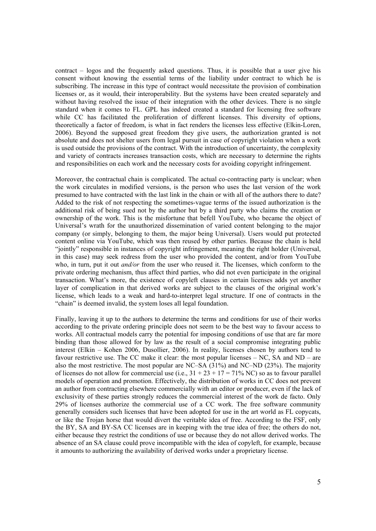contract – logos and the frequently asked questions. Thus, it is possible that a user give his consent without knowing the essential terms of the liability under contract to which he is subscribing. The increase in this type of contract would necessitate the provision of combination licenses or, as it would, their interoperability. But the systems have been created separately and without having resolved the issue of their integration with the other devices. There is no single standard when it comes to FL. GPL has indeed created a standard for licensing free software while CC has facilitated the proliferation of different licenses. This diversity of options, theoretically a factor of freedom, is what in fact renders the licenses less effective (Elkin-Loren, 2006). Beyond the supposed great freedom they give users, the authorization granted is not absolute and does not shelter users from legal pursuit in case of copyright violation when a work is used outside the provisions of the contract. With the introduction of uncertainty, the complexity and variety of contracts increases transaction costs, which are necessary to determine the rights and responsibilities on each work and the necessary costs for avoiding copyright infringement.

Moreover, the contractual chain is complicated. The actual co-contracting party is unclear; when the work circulates in modified versions, is the person who uses the last version of the work presumed to have contracted with the last link in the chain or with all of the authors there to date? Added to the risk of not respecting the sometimes-vague terms of the issued authorization is the additional risk of being sued not by the author but by a third party who claims the creation or ownership of the work. This is the misfortune that befell YouTube, who became the object of Universal's wrath for the unauthorized dissemination of varied content belonging to the major company (or simply, belonging to them, the major being Universal). Users would put protected content online via YouTube, which was then reused by other parties. Because the chain is held "jointly" responsible in instances of copyright infringement, meaning the right holder (Universal, in this case) may seek redress from the user who provided the content, and/or from YouTube who, in turn, put it out *and/or* from the user who reused it. The licenses, which conform to the private ordering mechanism, thus affect third parties, who did not even participate in the original transaction. What's more, the existence of copyleft clauses in certain licenses adds yet another layer of complication in that derived works are subject to the clauses of the original work's license, which leads to a weak and hard-to-interpret legal structure. If one of contracts in the "chain" is deemed invalid, the system loses all legal foundation.

Finally, leaving it up to the authors to determine the terms and conditions for use of their works according to the private ordering principle does not seem to be the best way to favour access to works. All contractual models carry the potential for imposing conditions of use that are far more binding than those allowed for by law as the result of a social compromise integrating public interest (Elkin – Kohen 2006, Dusollier, 2006). In reality, licenses chosen by authors tend to favour restrictive use. The CC make it clear: the most popular licenses – NC, SA and ND – are also the most restrictive. The most popular are NC–SA (31%) and NC–ND (23%). The majority of licenses do not allow for commercial use (i.e.,  $31 + 23 + 17 = 71\%$  NC) so as to favour parallel models of operation and promotion. Effectively, the distribution of works in CC does not prevent an author from contracting elsewhere commercially with an editor or producer, even if the lack of exclusivity of these parties strongly reduces the commercial interest of the work de facto. Only 29% of licenses authorize the commercial use of a CC work. The free software community generally considers such licenses that have been adopted for use in the art world as FL copycats, or like the Trojan horse that would divert the veritable idea of free. According to the FSF, only the BY, SA and BY-SA CC licenses are in keeping with the true idea of free; the others do not, either because they restrict the conditions of use or because they do not allow derived works. The absence of an SA clause could prove incompatible with the idea of copyleft, for example, because it amounts to authorizing the availability of derived works under a proprietary license.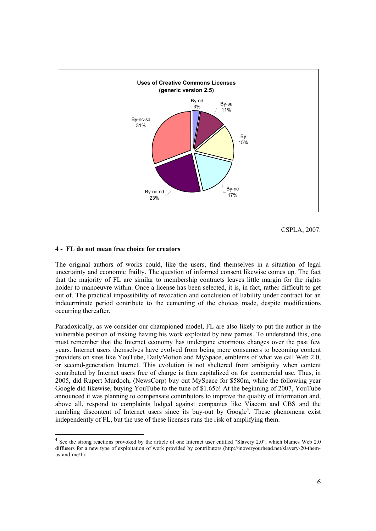

CSPLA, 2007.

#### **4 - FL do not mean free choice for creators**

The original authors of works could, like the users, find themselves in a situation of legal uncertainty and economic frailty. The question of informed consent likewise comes up. The fact that the majority of FL are similar to membership contracts leaves little margin for the rights holder to manoeuvre within. Once a license has been selected, it is, in fact, rather difficult to get out of. The practical impossibility of revocation and conclusion of liability under contract for an indeterminate period contribute to the cementing of the choices made, despite modifications occurring thereafter.

Paradoxically, as we consider our championed model, FL are also likely to put the author in the vulnerable position of risking having his work exploited by new parties. To understand this, one must remember that the Internet economy has undergone enormous changes over the past few years. Internet users themselves have evolved from being mere consumers to becoming content providers on sites like YouTube, DailyMotion and MySpace, emblems of what we call Web 2.0, or second-generation Internet. This evolution is not sheltered from ambiguity when content contributed by Internet users free of charge is then capitalized on for commercial use. Thus, in 2005, did Rupert Murdoch, (NewsCorp) buy out MySpace for \$580m, while the following year Google did likewise, buying YouTube to the tune of \$1.65b! At the beginning of 2007, YouTube announced it was planning to compensate contributors to improve the quality of information and, above all, respond to complaints lodged against companies like Viacom and CBS and the rumbling discontent of Internet users since its buy-out by Google<sup>4</sup>. These phenomena exist independently of FL, but the use of these licenses runs the risk of amplifying them.

 $4$  See the strong reactions provoked by the article of one Internet user entitled "Slavery 2.0", which blames Web 2.0 diffusers for a new type of exploitation of work provided by contributors (http://inoveryourhead.net/slavery-20-themus-and-me/1).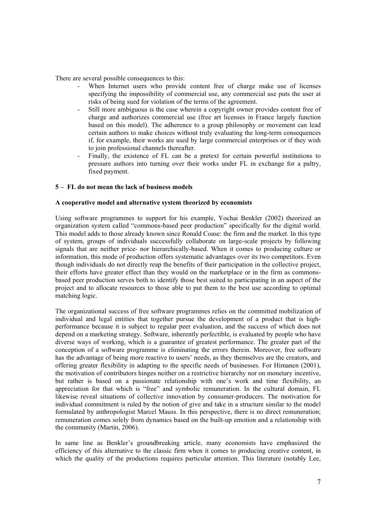There are several possible consequences to this:

- When Internet users who provide content free of charge make use of licenses specifying the impossibility of commercial use, any commercial use puts the user at risks of being sued for violation of the terms of the agreement.
- Still more ambiguous is the case wherein a copyright owner provides content free of charge and authorizes commercial use (free art licenses in France largely function based on this model). The adherence to a group philosophy or movement can lead certain authors to make choices without truly evaluating the long-term consequences if, for example, their works are used by large commercial enterprises or if they wish to join professional channels thereafter.
- Finally, the existence of FL can be a pretext for certain powerful institutions to pressure authors into turning over their works under FL in exchange for a paltry, fixed payment.

### **5 – FL do not mean the lack of business models**

#### **A cooperative model and alternative system theorized by economists**

Using software programmes to support for his example, Yochai Benkler (2002) theorized an organization system called "commons-based peer production" specifically for the digital world. This model adds to those already known since Ronald Coase: the firm and the market. In this type of system, groups of individuals successfully collaborate on large-scale projects by following signals that are neither price- nor hierarchically-based. When it comes to producing culture or information, this mode of production offers systematic advantages over its two competitors. Even though individuals do not directly reap the benefits of their participation in the collective project, their efforts have greater effect than they would on the marketplace or in the firm as commonsbased peer production serves both to identify those best suited to participating in an aspect of the project and to allocate resources to those able to put them to the best use according to optimal matching logic.

The organizational success of free software programmes relies on the committed mobilization of individual and legal entities that together pursue the development of a product that is highperformance because it is subject to regular peer evaluation, and the success of which does not depend on a marketing strategy. Software, inherently perfectible, is evaluated by people who have diverse ways of working, which is a guarantee of greatest performance. The greater part of the conception of a software programme is eliminating the errors therein. Moreover, free software has the advantage of being more reactive to users' needs, as they themselves are the creators, and offering greater flexibility in adapting to the specific needs of businesses. For Himanen (2001), the motivation of contributors hinges neither on a restrictive hierarchy nor on monetary incentive, but rather is based on a passionate relationship with one's work and time flexibility, an appreciation for that which is "free" and symbolic remuneration. In the cultural domain, FL likewise reveal situations of collective innovation by consumer-producers. The motivation for individual commitment is ruled by the notion of give and take in a structure similar to the model formulated by anthropologist Marcel Mauss. In this perspective, there is no direct remuneration; remuneration comes solely from dynamics based on the built-up emotion and a relationship with the community (Martin, 2006).

In same line as Benkler's groundbreaking article, many economists have emphasized the efficiency of this alternative to the classic firm when it comes to producing creative content, in which the quality of the productions requires particular attention. This literature (notably Lee,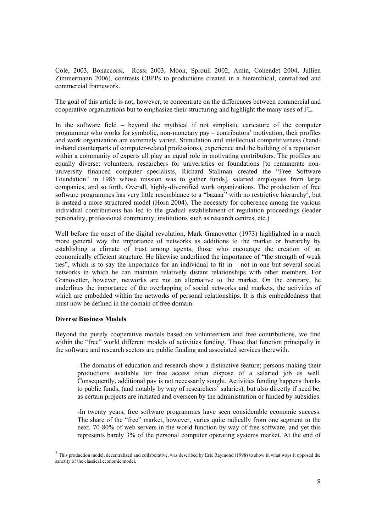Cole, 2003, Bonaccorsi, Rossi 2003, Moon, Sproull 2002, Amin, Cohendet 2004, Jullien Zimmermann 2006), contrasts CBPPs to productions created in a hierarchical, centralized and commercial framework.

The goal of this article is not, however, to concentrate on the differences between commercial and cooperative organizations but to emphasize their structuring and highlight the many uses of FL.

In the software field – beyond the mythical if not simplistic caricature of the computer programmer who works for symbolic, non-monetary pay – contributors' motivation, their profiles and work organization are extremely varied. Stimulation and intellectual competitiveness (handin-hand counterparts of computer-related professions), experience and the building of a reputation within a community of experts all play an equal role in motivating contributors. The profiles are equally diverse: volunteers, researchers for universities or foundations [to remunerate nonuniversity financed computer specialists, Richard Stallman created the "Free Software Foundation" in 1985 whose mission was to gather funds], salaried employees from large companies, and so forth. Overall, highly-diversified work organizations. The production of free software programmes has very little resemblance to a "bazaar" with no restrictive hierarchy<sup>5</sup>, but is instead a more structured model (Horn 2004). The necessity for coherence among the various individual contributions has led to the gradual establishment of regulation proceedings (leader personality, professional community, institutions such as research centres, etc.)

Well before the onset of the digital revolution, Mark Granovetter (1973) highlighted in a much more general way the importance of networks as additions to the market or hierarchy by establishing a climate of trust among agents, those who encourage the creation of an economically efficient structure. He likewise underlined the importance of "the strength of weak ties", which is to say the importance for an individual to fit in – not in one but several social networks in which he can maintain relatively distant relationships with other members. For Granovetter, however, networks are not an alternative to the market. On the contrary, he underlines the importance of the overlapping of social networks and markets, the activities of which are embedded within the networks of personal relationships. It is this embeddedness that must now be defined in the domain of free domain.

#### **Diverse Business Models**

Beyond the purely cooperative models based on volunteerism and free contributions, we find within the "free" world different models of activities funding. Those that function principally in the software and research sectors are public funding and associated services therewith.

-The domains of education and research show a distinctive feature; persons making their productions available for free access often dispose of a salaried job as well. Consequently, additional pay is not necessarily sought. Activities funding happens thanks to public funds, (and notably by way of researchers' salaries), but also directly if need be, as certain projects are initiated and overseen by the administration or funded by subsidies.

-In twenty years, free software programmes have seen considerable economic success. The share of the "free" market, however, varies quite radically from one segment to the next. 70-80% of web servers in the world function by way of free software, and yet this represents barely 3% of the personal computer operating systems market. At the end of

<sup>&</sup>lt;sup>5</sup> This production model, decentralized and collaborative, was described by Eric Raymond (1998) to show in what ways it opposed the sanctity of the classical economic model.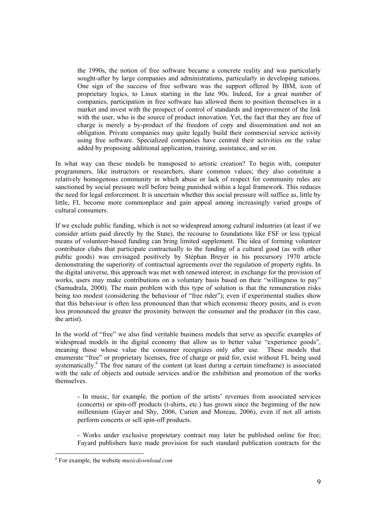the 1990s, the notion of free software became a concrete reality and was particularly sought-after by large companies and administrations, particularly in developing nations. One sign of the success of free software was the support offered by IBM, icon of proprietary logics, to Linux starting in the late 90s. Indeed, for a great number of companies, participation in free software has allowed them to position themselves in a market and invest with the prospect of control of standards and improvement of the link with the user, who is the source of product innovation. Yet, the fact that they are free of charge is merely a by-product of the freedom of copy and dissemination and not an obligation. Private companies may quite legally build their commercial service activity using free software. Specialized companies have centred their activities on the value added by proposing additional application, training, assistance, and so on.

In what way can these models be transposed to artistic creation? To begin with, computer programmers, like instructors or researchers, share common values; they also constitute a relatively homogenous community in which abuse or lack of respect for community rules are sanctioned by social pressure well before being punished within a legal framework. This reduces the need for legal enforcement. It is uncertain whether this social pressure will suffice as, little by little, FL become more commonplace and gain appeal among increasingly varied groups of cultural consumers.

If we exclude public funding, which is not so widespread among cultural industries (at least if we consider artists paid directly by the State), the recourse to foundations like FSF or less typical means of volunteer-based funding can bring limited supplement. The idea of forming volunteer contributor clubs that participate contractually to the funding of a cultural good (as with other public goods) was envisaged positively by Stéphan Breyer in his precursory 1970 article demonstrating the superiority of contractual agreements over the regulation of property rights. In the digital universe, this approach was met with renewed interest; in exchange for the provision of works, users may make contributions on a voluntary basis based on their "willingness to pay" (Samudrala, 2000). The main problem with this type of solution is that the remuneration risks being too modest (considering the behaviour of "free rider"); even if experimental studies show that this behaviour is often less pronounced than that which economic theory posits, and is even less pronounced the greater the proximity between the consumer and the producer (in this case, the artist).

In the world of "free" we also find veritable business models that serve as specific examples of widespread models in the digital economy that allow us to better value "experience goods", meaning those whose value the consumer recognizes only after use. These models that enumerate "free" or proprietary licenses, free of charge or paid for, exist without FL being used systematically.<sup>6</sup> The free nature of the content (at least during a certain timeframe) is associated with the sale of objects and outside services and/or the exhibition and promotion of the works themselves.

- In music, for example, the portion of the artists' revenues from associated services (concerts) or spin-off products (t-shirts, etc.) has grown since the beginning of the new millennium (Gayer and Shy, 2006, Curien and Moreau, 2006), even if not all artists perform concerts or sell spin-off products.

- Works under exclusive proprietary contract may later be published online for free; Fayard publishers have made provision for such standard publication contracts for the

 $\overline{a}$ 

<sup>6</sup> For example, the website *musicdownload.com*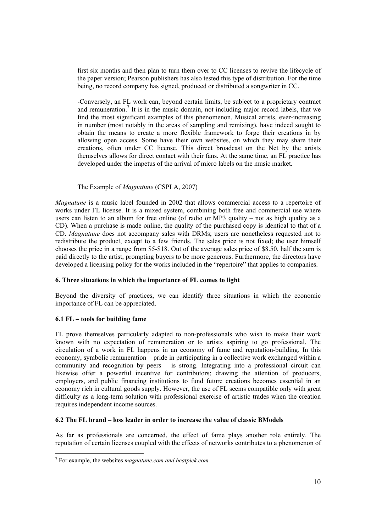first six months and then plan to turn them over to CC licenses to revive the lifecycle of the paper version; Pearson publishers has also tested this type of distribution. For the time being, no record company has signed, produced or distributed a songwriter in CC.

-Conversely, an FL work can, beyond certain limits, be subject to a proprietary contract and remuneration.<sup>7</sup> It is in the music domain, not including major record labels, that we find the most significant examples of this phenomenon. Musical artists, ever-increasing in number (most notably in the areas of sampling and remixing), have indeed sought to obtain the means to create a more flexible framework to forge their creations in by allowing open access. Some have their own websites, on which they may share their creations, often under CC license. This direct broadcast on the Net by the artists themselves allows for direct contact with their fans. At the same time, an FL practice has developed under the impetus of the arrival of micro labels on the music market.

# The Example of *Magnatune* (CSPLA, 2007)

*Magnatune* is a music label founded in 2002 that allows commercial access to a repertoire of works under FL license. It is a mixed system, combining both free and commercial use where users can listen to an album for free online (of radio or MP3 quality – not as high quality as a CD). When a purchase is made online, the quality of the purchased copy is identical to that of a CD. *Magnatune* does not accompany sales with DRMs; users are nonetheless requested not to redistribute the product, except to a few friends. The sales price is not fixed; the user himself chooses the price in a range from \$5-\$18. Out of the average sales price of \$8.50, half the sum is paid directly to the artist, prompting buyers to be more generous. Furthermore, the directors have developed a licensing policy for the works included in the "repertoire" that applies to companies.

# **6. Three situations in which the importance of FL comes to light**

Beyond the diversity of practices, we can identify three situations in which the economic importance of FL can be appreciated.

# **6.1 FL – tools for building fame**

FL prove themselves particularly adapted to non-professionals who wish to make their work known with no expectation of remuneration or to artists aspiring to go professional. The circulation of a work in FL happens in an economy of fame and reputation-building. In this economy, symbolic remuneration – pride in participating in a collective work exchanged within a community and recognition by peers – is strong. Integrating into a professional circuit can likewise offer a powerful incentive for contributors; drawing the attention of producers, employers, and public financing institutions to fund future creations becomes essential in an economy rich in cultural goods supply. However, the use of FL seems compatible only with great difficulty as a long-term solution with professional exercise of artistic trades when the creation requires independent income sources.

#### **6.2 The FL brand – loss leader in order to increase the value of classic BModels**

As far as professionals are concerned, the effect of fame plays another role entirely. The reputation of certain licenses coupled with the effects of networks contributes to a phenomenon of

 7 For example, the websites *magnatune.com and beatpick.com*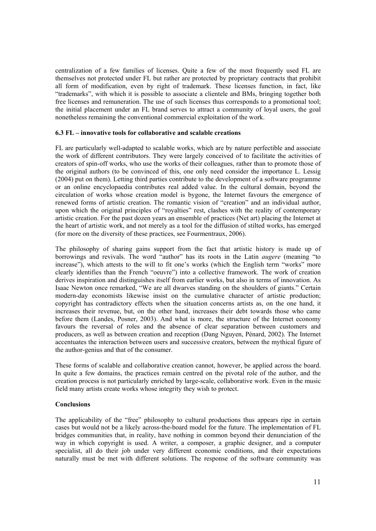centralization of a few families of licenses. Quite a few of the most frequently used FL are themselves not protected under FL but rather are protected by proprietary contracts that prohibit all form of modification, even by right of trademark. These licenses function, in fact, like "trademarks", with which it is possible to associate a clientele and BMs, bringing together both free licenses and remuneration. The use of such licenses thus corresponds to a promotional tool; the initial placement under an FL brand serves to attract a community of loyal users, the goal nonetheless remaining the conventional commercial exploitation of the work.

### **6.3 FL – innovative tools for collaborative and scalable creations**

FL are particularly well-adapted to scalable works, which are by nature perfectible and associate the work of different contributors. They were largely conceived of to facilitate the activities of creators of spin-off works, who use the works of their colleagues, rather than to promote those of the original authors (to be convinced of this, one only need consider the importance L. Lessig (2004) put on them). Letting third parties contribute to the development of a software programme or an online encyclopaedia contributes real added value. In the cultural domain, beyond the circulation of works whose creation model is bygone, the Internet favours the emergence of renewed forms of artistic creation. The romantic vision of "creation" and an individual author, upon which the original principles of "royalties" rest, clashes with the reality of contemporary artistic creation. For the past dozen years an ensemble of practices (Net art) placing the Internet at the heart of artistic work, and not merely as a tool for the diffusion of stilted works, has emerged (for more on the diversity of these practices, see Fourmentraux, 2006).

The philosophy of sharing gains support from the fact that artistic history is made up of borrowings and revivals. The word "author" has its roots in the Latin *augere* (meaning "to increase"), which attests to the will to fit one's works (which the English term "works" more clearly identifies than the French "oeuvre") into a collective framework. The work of creation derives inspiration and distinguishes itself from earlier works, but also in terms of innovation. As Isaac Newton once remarked, "We are all dwarves standing on the shoulders of giants." Certain modern-day economists likewise insist on the cumulative character of artistic production; copyright has contradictory effects when the situation concerns artists as, on the one hand, it increases their revenue, but, on the other hand, increases their debt towards those who came before them (Landes, Posner, 2003). And what is more, the structure of the Internet economy favours the reversal of roles and the absence of clear separation between customers and producers, as well as between creation and reception (Dang Nguyen, Pénard, 2002). The Internet accentuates the interaction between users and successive creators, between the mythical figure of the author-genius and that of the consumer.

These forms of scalable and collaborative creation cannot, however, be applied across the board. In quite a few domains, the practices remain centred on the pivotal role of the author, and the creation process is not particularly enriched by large-scale, collaborative work. Even in the music field many artists create works whose integrity they wish to protect.

# **Conclusions**

The applicability of the "free" philosophy to cultural productions thus appears ripe in certain cases but would not be a likely across-the-board model for the future. The implementation of FL bridges communities that, in reality, have nothing in common beyond their denunciation of the way in which copyright is used. A writer, a composer, a graphic designer, and a computer specialist, all do their job under very different economic conditions, and their expectations naturally must be met with different solutions. The response of the software community was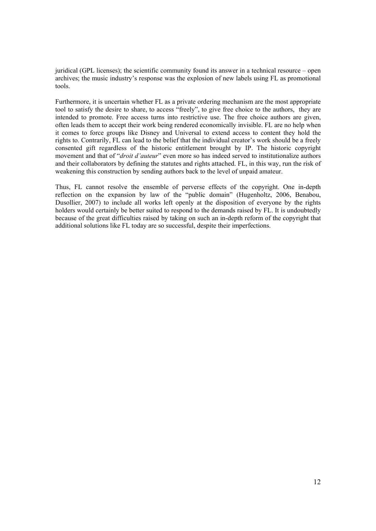juridical (GPL licenses); the scientific community found its answer in a technical resource – open archives; the music industry's response was the explosion of new labels using FL as promotional tools.

Furthermore, it is uncertain whether FL as a private ordering mechanism are the most appropriate tool to satisfy the desire to share, to access "freely", to give free choice to the authors, they are intended to promote. Free access turns into restrictive use. The free choice authors are given, often leads them to accept their work being rendered economically invisible. FL are no help when it comes to force groups like Disney and Universal to extend access to content they hold the rights to. Contrarily, FL can lead to the belief that the individual creator's work should be a freely consented gift regardless of the historic entitlement brought by IP. The historic copyright movement and that of "*droit d'auteur*" even more so has indeed served to institutionalize authors and their collaborators by defining the statutes and rights attached. FL, in this way, run the risk of weakening this construction by sending authors back to the level of unpaid amateur.

Thus, FL cannot resolve the ensemble of perverse effects of the copyright. One in-depth reflection on the expansion by law of the "public domain" (Hugenholtz, 2006, Benabou, Dusollier, 2007) to include all works left openly at the disposition of everyone by the rights holders would certainly be better suited to respond to the demands raised by FL. It is undoubtedly because of the great difficulties raised by taking on such an in-depth reform of the copyright that additional solutions like FL today are so successful, despite their imperfections.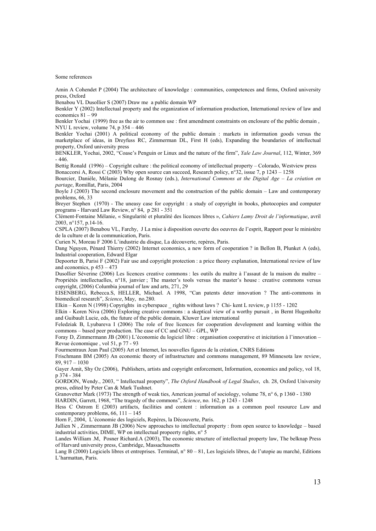Some references

Amin A Cohendet P (2004) The architecture of knowledge : communities, competences and firms, Oxford university press, Oxford

Benabou VL Dusollier S (2007) Draw me a public domain WP

Benkler Y (2002) Intellectual property and the organization of information production, International review of law and economics 81 – 99

Benkler Yochai (1999) free as the air to common use : first amendment constraints on enclosure of the public domain, NYU L review, volume 74, p 354 – 446

Benkler Yochai (2001) A political economy of the public domain : markets in information goods versus the marketplace of ideas, in Dreyfuss RC, Zimmerman DL, First H (eds), Expanding the boundaries of intellectual property, Oxford university press

BENKLER, Yochai, 2002, "Coase's Penguin or Linux and the nature of the firm", *Yale Law Journal*, 112, Winter, 369 - 446.

Bettig Ronald (1996) – Copyright culture : the political economy of intellectual property – Colorado, Westview press Bonaccorsi A, Rossi C (2003) Why open source can succeed, Research policy, n°32, issue 7, p 1243 – 1258

Bourcier, Danièle, Mélanie Dulong de Rosnay (eds.), *International Commons at the Digital Age – La création en partage*, Romillat, Paris, 2004

Boyle J (2003) The second enclosure movement and the construction of the public domain – Law and contemporary problems, 66, 33

Breyer Stephen (1970) - The uneasy case for copyright : a study of copyright in books, photocopies and computer programs - Harvard Law Review, n° 84, p 281 - 351

Clément-Fontaine Mélanie, « Singularité et pluralité des licences libres », *Cahiers Lamy Droit de l'informatique*, avril 2003, n°157, p.14-16.

CSPLA (2007) Benabou VL, Farchy, J La mise à disposition ouverte des oeuvres de l'esprit, Rapport pour le ministère de la culture et de la communication, Paris.

Curien N, Moreau F 2006 L'industrie du disque, La découverte, repères, Paris.

Dang Nguyen, Pénard Thierry (2002) Internet economics, a new form of cooperation ? in Bellon B, Plunket A (eds), Industrial cooperation, Edward Elgar

Depoorter B, Parisi F (2002) Fair use and copyright protection : a price theory explanation, International review of law and economics,  $p 453 - 473$ 

Dusollier Séverine (2006) Les licences creative commons : les outils du maître à l'assaut de la maison du maître – Propriétés intellectuelles, n°18, janvier ; The master's tools versus the master's house : creative commons versus copyright, (2006) Columbia journal of law and arts, 271, 29

EISENBERG, Rebecca.S, HELLER, Michael. A 1998, "Can patents deter innovation ? The anti-commons in biomedical research", *Science*, May, no.280.

Elkin – Koren N (1998) Copyrights in cyberspace \_ rights without laws ? Chi- kent L review, p 1155 - 1202

Elkin - Koren Niva (2006) Exploring creative commons : a skeptical view of a worthy pursuit , in Bernt Hugenholtz and Guibault Lucie, eds, the future of the public domain, Kluwer Law international

Feledziak B, Lyubareva I (2006) The role of free licences for cooperation development and learning within the commons – based peer production. The case of CC and GNU – GPL, WP

Foray D, Zimmermann JB (2001) L'économie du logiciel libre : organisation cooperative et inicitation à l'innovation – Revue économique , vol 51, p 77 - 93

Fourmentraux Jean Paul (2005) Art et Internet, les nouvelles figures de la création, CNRS Editions

Frischmann BM (2005) An economic theory of infrastructure and commons management, 89 Minnesota law review, 89, 917 – 1030

Gayer Amit, Shy Oz (2006), Publishers, artists and copyright enforcement, Information, economics and policy, vol 18, p 374 - 384

GORDON, Wendy., 2003, " Intellectual property", *The Oxford Handbook of Legal Studies*, ch. 28, Oxford University press, edited by Peter Can & Mark Tushnet.

Granovetter Mark (1973) The strength of weak ties, American journal of sociology, volume 78, n° 6, p 1360 - 1380

HARDIN, Garrett, 1968, "The tragedy of the commons", *Science*, no. 162, p 1243 - 1248

Hess C Ostrom E (2003) artifacts, facilities and content : information as a common pool resource Law and contemporary problems, 66, 111 – 145

Horn F, 2004, L'économie des logiciels, Repères, la Découverte, Paris.

Jullien N , Zimmermann JB (2006) New approaches to intellectual property : from open source to knowledge – based industrial activities, DIME, WP on intellectual propeerty rights, n° 5

Landes William .M, Posner Richard.A (2003), The economic structure of intellectual property law, The belknap Press of Harvard university press, Cambridge, Massachussetts

Lang B (2000) Logiciels libres et entreprises. Terminal, n° 80 – 81, Les logiciels libres, de l'utopie au marché, Editions L'harmattan, Paris.